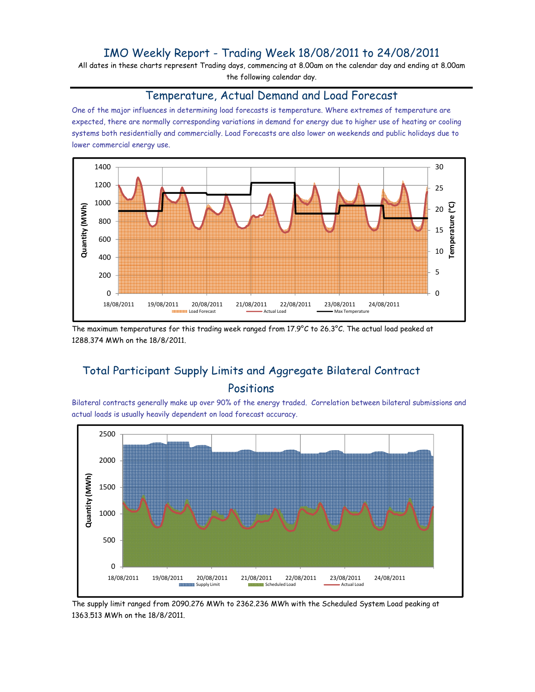## IMO Weekly Report - Trading Week 18/08/2011 to 24/08/2011

All dates in these charts represent Trading days, commencing at 8.00am on the calendar day and ending at 8.00am the following calendar day.

#### Temperature, Actual Demand and Load Forecast

One of the major influences in determining load forecasts is temperature. Where extremes of temperature are expected, there are normally corresponding variations in demand for energy due to higher use of heating or cooling systems both residentially and commercially. Load Forecasts are also lower on weekends and public holidays due to lower commercial energy use.



The maximum temperatures for this trading week ranged from 17.9°C to 26.3°C. The actual load peaked at 1288.374 MWh on the 18/8/2011.

# Total Participant Supply Limits and Aggregate Bilateral Contract Positions

Bilateral contracts generally make up over 90% of the energy traded. Correlation between bilateral submissions and actual loads is usually heavily dependent on load forecast accuracy.



The supply limit ranged from 2090.276 MWh to 2362.236 MWh with the Scheduled System Load peaking at 1363.513 MWh on the 18/8/2011.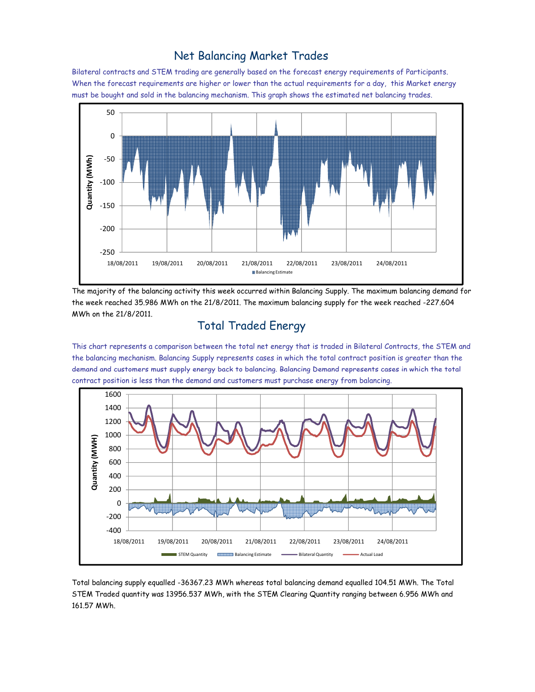#### Net Balancing Market Trades

Bilateral contracts and STEM trading are generally based on the forecast energy requirements of Participants. When the forecast requirements are higher or lower than the actual requirements for a day, this Market energy must be bought and sold in the balancing mechanism. This graph shows the estimated net balancing trades.



The majority of the balancing activity this week occurred within Balancing Supply. The maximum balancing demand for the week reached 35.986 MWh on the 21/8/2011. The maximum balancing supply for the week reached -227.604 MWh on the 21/8/2011.

# Total Traded Energy

This chart represents a comparison between the total net energy that is traded in Bilateral Contracts, the STEM and the balancing mechanism. Balancing Supply represents cases in which the total contract position is greater than the demand and customers must supply energy back to balancing. Balancing Demand represents cases in which the total contract position is less than the demand and customers must purchase energy from balancing.



Total balancing supply equalled -36367.23 MWh whereas total balancing demand equalled 104.51 MWh. The Total STEM Traded quantity was 13956.537 MWh, with the STEM Clearing Quantity ranging between 6.956 MWh and 161.57 MWh.